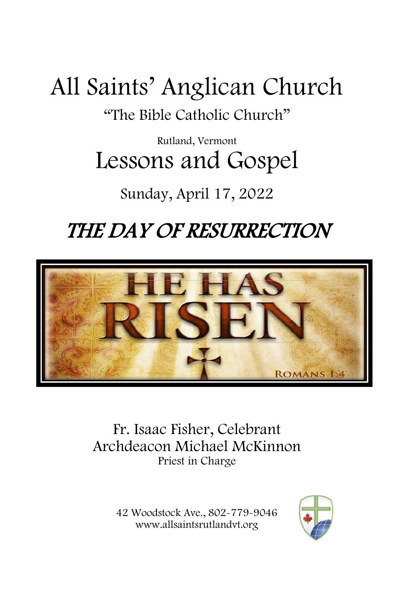# All Saints' Anglican Church

"The Bible Catholic Church"

## Rutland, Vermont Lessons and Gospel

### Sunday, April 17, 2022

## THE DAY OF RESURRECTION



Fr. Isaac Fisher, Celebrant Archdeacon Michael McKinnon Priest in Charge

> 42 Woodstock Ave., 802-779-9046 www.allsaintsrutlandvt.org

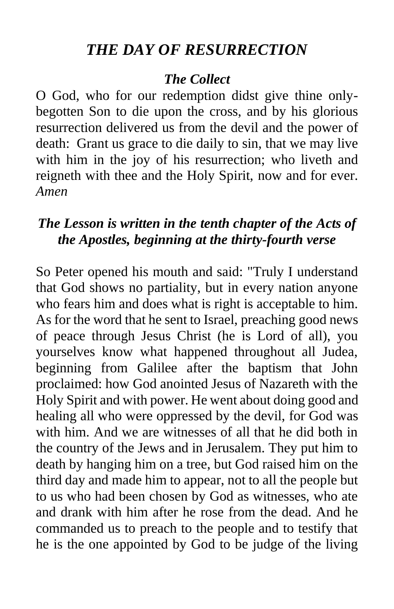#### *THE DAY OF RESURRECTION*

#### *The Collect*

O God, who for our redemption didst give thine onlybegotten Son to die upon the cross, and by his glorious resurrection delivered us from the devil and the power of death: Grant us grace to die daily to sin, that we may live with him in the joy of his resurrection; who liveth and reigneth with thee and the Holy Spirit, now and for ever. *Amen*

#### *The Lesson is written in the tenth chapter of the Acts of the Apostles, beginning at the thirty-fourth verse*

So Peter opened his mouth and said: "Truly I understand that God shows no partiality, but in every nation anyone who fears him and does what is right is acceptable to him. As for the word that he sent to Israel, preaching good news of peace through Jesus Christ (he is Lord of all), you yourselves know what happened throughout all Judea, beginning from Galilee after the baptism that John proclaimed: how God anointed Jesus of Nazareth with the Holy Spirit and with power. He went about doing good and healing all who were oppressed by the devil, for God was with him. And we are witnesses of all that he did both in the country of the Jews and in Jerusalem. They put him to death by hanging him on a tree, but God raised him on the third day and made him to appear, not to all the people but to us who had been chosen by God as witnesses, who ate and drank with him after he rose from the dead. And he commanded us to preach to the people and to testify that he is the one appointed by God to be judge of the living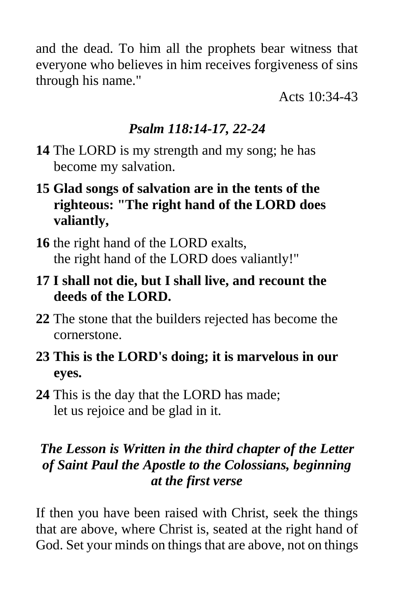and the dead. To him all the prophets bear witness that everyone who believes in him receives forgiveness of sins through his name."

Acts 10:34-43

#### *Psalm 118:14-17, 22-24*

- **14** The LORD is my strength and my song; he has become my salvation.
- **15 Glad songs of salvation are in the tents of the righteous: "The right hand of the LORD does valiantly,**
- **16** the right hand of the LORD exalts, the right hand of the LORD does valiantly!"
- **17 I shall not die, but I shall live, and recount the deeds of the LORD.**
- **22** The stone that the builders rejected has become the cornerstone.
- **23 This is the LORD's doing; it is marvelous in our eyes.**
- **24** This is the day that the LORD has made; let us rejoice and be glad in it.

#### *The Lesson is Written in the third chapter of the Letter of Saint Paul the Apostle to the Colossians, beginning at the first verse*

If then you have been raised with Christ, seek the things that are above, where Christ is, seated at the right hand of God. Set your minds on things that are above, not on things